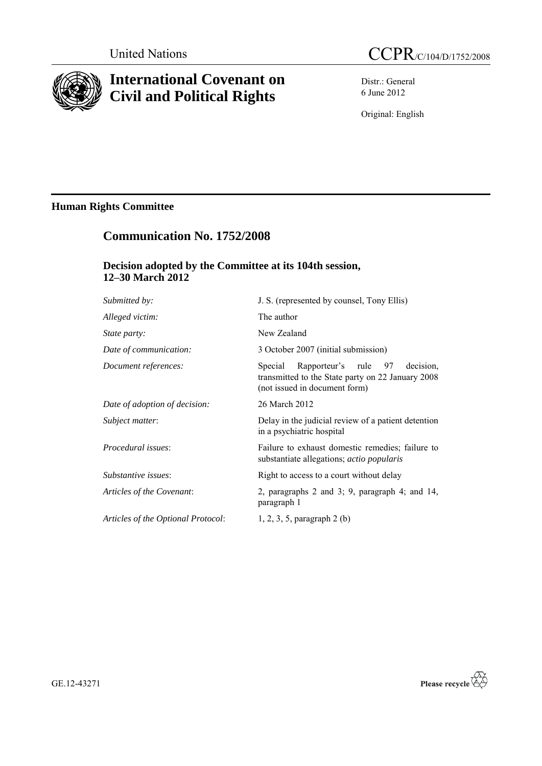

# **International Covenant on Civil and Political Rights**

Distr.: General 6 June 2012

Original: English

# **Human Rights Committee**

# **Communication No. 1752/2008**

## **Decision adopted by the Committee at its 104th session, 12–30 March 2012**

| Submitted by:                      | J. S. (represented by counsel, Tony Ellis)                                                                                      |
|------------------------------------|---------------------------------------------------------------------------------------------------------------------------------|
| Alleged victim:                    | The author                                                                                                                      |
| <i>State party:</i>                | New Zealand                                                                                                                     |
| Date of communication:             | 3 October 2007 (initial submission)                                                                                             |
| Document references:               | Rapporteur's rule 97 decision,<br>Special<br>transmitted to the State party on 22 January 2008<br>(not issued in document form) |
| Date of adoption of decision:      | 26 March 2012                                                                                                                   |
| Subject matter:                    | Delay in the judicial review of a patient detention<br>in a psychiatric hospital                                                |
| Procedural issues:                 | Failure to exhaust domestic remedies; failure to<br>substantiate allegations; actio popularis                                   |
| Substantive issues:                | Right to access to a court without delay                                                                                        |
| Articles of the Covenant:          | 2, paragraphs 2 and 3; 9, paragraph 4; and $14$ ,<br>paragraph 1                                                                |
| Articles of the Optional Protocol: | $1, 2, 3, 5$ , paragraph $2(b)$                                                                                                 |
|                                    |                                                                                                                                 |



GE.12-43271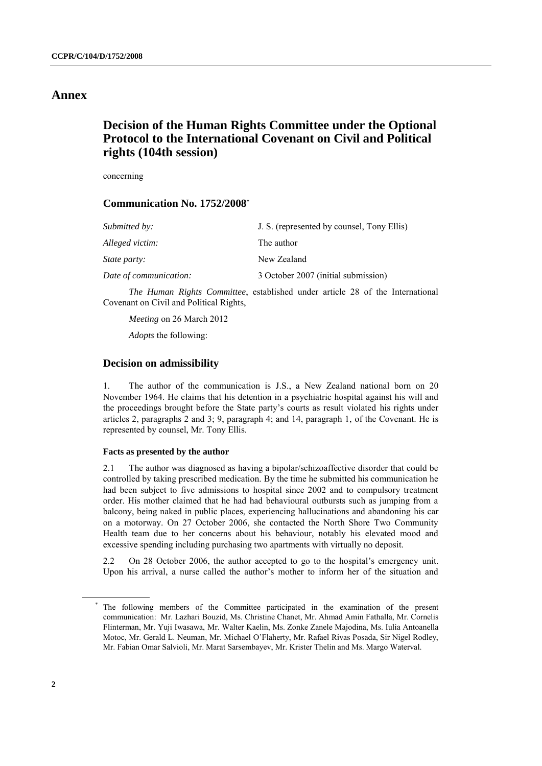## **Annex**

# **Decision of the Human Rights Committee under the Optional Protocol to the International Covenant on Civil and Political rights (104th session)**

concerning

## **Communication No. 1752/2008\***

| Submitted by:          | J. S. (represented by counsel, Tony Ellis) |
|------------------------|--------------------------------------------|
| Alleged victim:        | The author                                 |
| <i>State party:</i>    | New Zealand                                |
| Date of communication: | 3 October 2007 (initial submission)        |

*The Human Rights Committee*, established under article 28 of the International Covenant on Civil and Political Rights,

*Meeting* on 26 March 2012

*Adopts* the following:

## **Decision on admissibility**

1. The author of the communication is J.S., a New Zealand national born on 20 November 1964. He claims that his detention in a psychiatric hospital against his will and the proceedings brought before the State party's courts as result violated his rights under articles 2, paragraphs 2 and 3; 9, paragraph 4; and 14, paragraph 1, of the Covenant. He is represented by counsel, Mr. Tony Ellis.

## **Facts as presented by the author**

2.1 The author was diagnosed as having a bipolar/schizoaffective disorder that could be controlled by taking prescribed medication. By the time he submitted his communication he had been subject to five admissions to hospital since 2002 and to compulsory treatment order. His mother claimed that he had had behavioural outbursts such as jumping from a balcony, being naked in public places, experiencing hallucinations and abandoning his car on a motorway. On 27 October 2006, she contacted the North Shore Two Community Health team due to her concerns about his behaviour, notably his elevated mood and excessive spending including purchasing two apartments with virtually no deposit.

2.2 On 28 October 2006, the author accepted to go to the hospital's emergency unit. Upon his arrival, a nurse called the author's mother to inform her of the situation and

<sup>\*</sup> The following members of the Committee participated in the examination of the present communication: Mr. Lazhari Bouzid, Ms. Christine Chanet, Mr. Ahmad Amin Fathalla, Mr. Cornelis Flinterman, Mr. Yuji Iwasawa, Mr. Walter Kaelin, Ms. Zonke Zanele Majodina, Ms. Iulia Antoanella Motoc, Mr. Gerald L. Neuman, Mr. Michael O'Flaherty, Mr. Rafael Rivas Posada, Sir Nigel Rodley, Mr. Fabian Omar Salvioli, Mr. Marat Sarsembayev, Mr. Krister Thelin and Ms. Margo Waterval.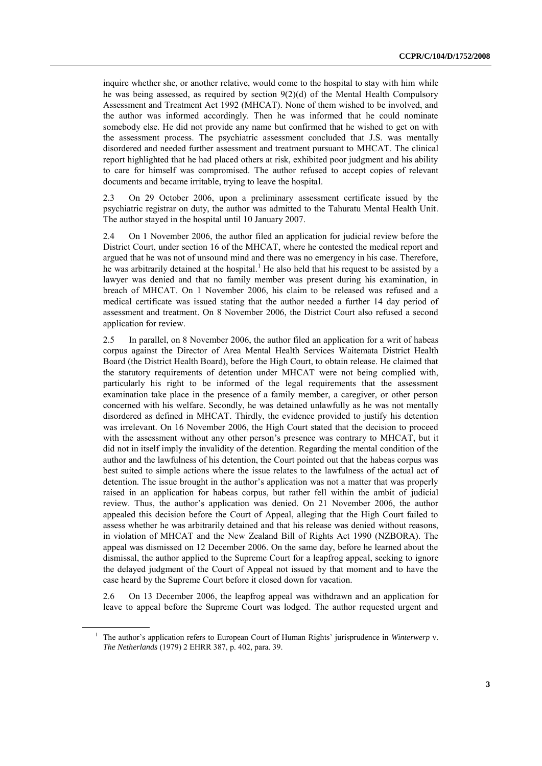inquire whether she, or another relative, would come to the hospital to stay with him while he was being assessed, as required by section 9(2)(d) of the Mental Health Compulsory Assessment and Treatment Act 1992 (MHCAT). None of them wished to be involved, and the author was informed accordingly. Then he was informed that he could nominate somebody else. He did not provide any name but confirmed that he wished to get on with the assessment process. The psychiatric assessment concluded that J.S. was mentally disordered and needed further assessment and treatment pursuant to MHCAT. The clinical report highlighted that he had placed others at risk, exhibited poor judgment and his ability to care for himself was compromised. The author refused to accept copies of relevant documents and became irritable, trying to leave the hospital.

2.3 On 29 October 2006, upon a preliminary assessment certificate issued by the psychiatric registrar on duty, the author was admitted to the Tahuratu Mental Health Unit. The author stayed in the hospital until 10 January 2007.

2.4 On 1 November 2006, the author filed an application for judicial review before the District Court, under section 16 of the MHCAT, where he contested the medical report and argued that he was not of unsound mind and there was no emergency in his case. Therefore, he was arbitrarily detained at the hospital.<sup>1</sup> He also held that his request to be assisted by a lawyer was denied and that no family member was present during his examination, in breach of MHCAT. On 1 November 2006, his claim to be released was refused and a medical certificate was issued stating that the author needed a further 14 day period of assessment and treatment. On 8 November 2006, the District Court also refused a second application for review.

2.5 In parallel, on 8 November 2006, the author filed an application for a writ of habeas corpus against the Director of Area Mental Health Services Waitemata District Health Board (the District Health Board), before the High Court, to obtain release. He claimed that the statutory requirements of detention under MHCAT were not being complied with, particularly his right to be informed of the legal requirements that the assessment examination take place in the presence of a family member, a caregiver, or other person concerned with his welfare. Secondly, he was detained unlawfully as he was not mentally disordered as defined in MHCAT. Thirdly, the evidence provided to justify his detention was irrelevant. On 16 November 2006, the High Court stated that the decision to proceed with the assessment without any other person's presence was contrary to MHCAT, but it did not in itself imply the invalidity of the detention. Regarding the mental condition of the author and the lawfulness of his detention, the Court pointed out that the habeas corpus was best suited to simple actions where the issue relates to the lawfulness of the actual act of detention. The issue brought in the author's application was not a matter that was properly raised in an application for habeas corpus, but rather fell within the ambit of judicial review. Thus, the author's application was denied. On 21 November 2006, the author appealed this decision before the Court of Appeal, alleging that the High Court failed to assess whether he was arbitrarily detained and that his release was denied without reasons, in violation of MHCAT and the New Zealand Bill of Rights Act 1990 (NZBORA). The appeal was dismissed on 12 December 2006. On the same day, before he learned about the dismissal, the author applied to the Supreme Court for a leapfrog appeal, seeking to ignore the delayed judgment of the Court of Appeal not issued by that moment and to have the case heard by the Supreme Court before it closed down for vacation.

2.6 On 13 December 2006, the leapfrog appeal was withdrawn and an application for leave to appeal before the Supreme Court was lodged. The author requested urgent and

<sup>1</sup> The author's application refers to European Court of Human Rights' jurisprudence in *Winterwerp* v. *The Netherlands* (1979) 2 EHRR 387, p. 402, para. 39.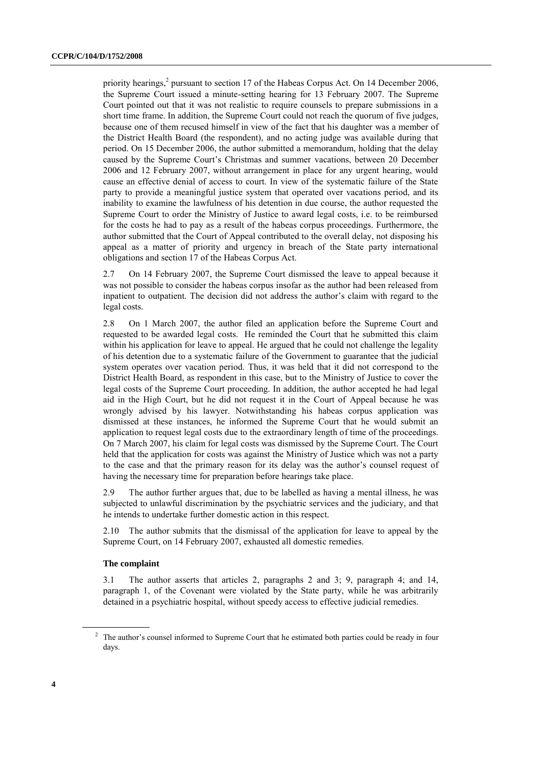priority hearings,<sup>2</sup> pursuant to section 17 of the Habeas Corpus Act. On 14 December 2006, the Supreme Court issued a minute-setting hearing for 13 February 2007. The Supreme Court pointed out that it was not realistic to require counsels to prepare submissions in a short time frame. In addition, the Supreme Court could not reach the quorum of five judges, because one of them recused himself in view of the fact that his daughter was a member of the District Health Board (the respondent), and no acting judge was available during that period. On 15 December 2006, the author submitted a memorandum, holding that the delay caused by the Supreme Court's Christmas and summer vacations, between 20 December 2006 and 12 February 2007, without arrangement in place for any urgent hearing, would cause an effective denial of access to court. In view of the systematic failure of the State party to provide a meaningful justice system that operated over vacations period, and its inability to examine the lawfulness of his detention in due course, the author requested the Supreme Court to order the Ministry of Justice to award legal costs, i.e. to be reimbursed for the costs he had to pay as a result of the habeas corpus proceedings. Furthermore, the author submitted that the Court of Appeal contributed to the overall delay, not disposing his appeal as a matter of priority and urgency in breach of the State party international obligations and section 17 of the Habeas Corpus Act.

2.7 On 14 February 2007, the Supreme Court dismissed the leave to appeal because it was not possible to consider the habeas corpus insofar as the author had been released from inpatient to outpatient. The decision did not address the author's claim with regard to the legal costs.

2.8 On 1 March 2007, the author filed an application before the Supreme Court and requested to be awarded legal costs. He reminded the Court that he submitted this claim within his application for leave to appeal. He argued that he could not challenge the legality of his detention due to a systematic failure of the Government to guarantee that the judicial system operates over vacation period. Thus, it was held that it did not correspond to the District Health Board, as respondent in this case, but to the Ministry of Justice to cover the legal costs of the Supreme Court proceeding. In addition, the author accepted he had legal aid in the High Court, but he did not request it in the Court of Appeal because he was wrongly advised by his lawyer. Notwithstanding his habeas corpus application was dismissed at these instances, he informed the Supreme Court that he would submit an application to request legal costs due to the extraordinary length of time of the proceedings. On 7 March 2007, his claim for legal costs was dismissed by the Supreme Court. The Court held that the application for costs was against the Ministry of Justice which was not a party to the case and that the primary reason for its delay was the author's counsel request of having the necessary time for preparation before hearings take place.

2.9 The author further argues that, due to be labelled as having a mental illness, he was subjected to unlawful discrimination by the psychiatric services and the judiciary, and that he intends to undertake further domestic action in this respect.

2.10 The author submits that the dismissal of the application for leave to appeal by the Supreme Court, on 14 February 2007, exhausted all domestic remedies.

## **The complaint**

3.1 The author asserts that articles 2, paragraphs 2 and 3; 9, paragraph 4; and 14, paragraph 1, of the Covenant were violated by the State party, while he was arbitrarily detained in a psychiatric hospital, without speedy access to effective judicial remedies.

<sup>&</sup>lt;sup>2</sup> The author's counsel informed to Supreme Court that he estimated both parties could be ready in four days.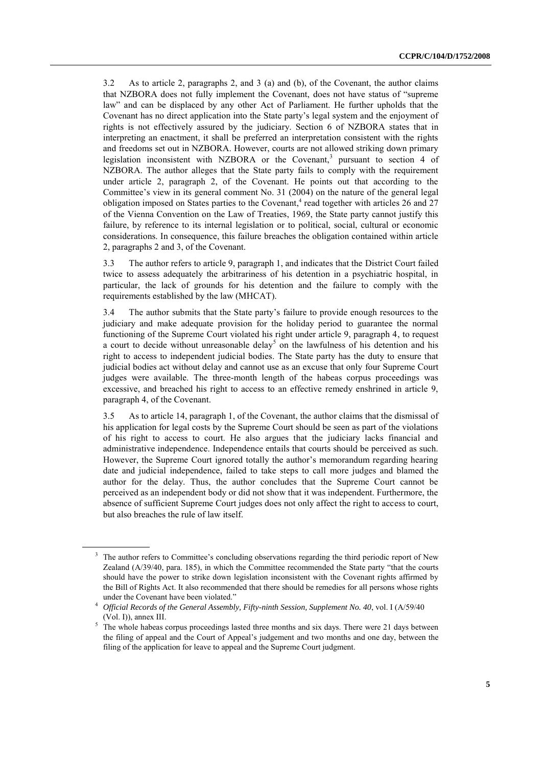3.2 As to article 2, paragraphs 2, and 3 (a) and (b), of the Covenant, the author claims that NZBORA does not fully implement the Covenant, does not have status of "supreme law" and can be displaced by any other Act of Parliament. He further upholds that the Covenant has no direct application into the State party's legal system and the enjoyment of rights is not effectively assured by the judiciary. Section 6 of NZBORA states that in interpreting an enactment, it shall be preferred an interpretation consistent with the rights and freedoms set out in NZBORA. However, courts are not allowed striking down primary legislation inconsistent with NZBORA or the Covenant,<sup>3</sup> pursuant to section 4 of NZBORA. The author alleges that the State party fails to comply with the requirement under article 2, paragraph 2, of the Covenant. He points out that according to the Committee's view in its general comment No. 31 (2004) on the nature of the general legal obligation imposed on States parties to the Covenant,<sup>4</sup> read together with articles 26 and 27 of the Vienna Convention on the Law of Treaties, 1969, the State party cannot justify this failure, by reference to its internal legislation or to political, social, cultural or economic considerations. In consequence, this failure breaches the obligation contained within article 2, paragraphs 2 and 3, of the Covenant.

3.3 The author refers to article 9, paragraph 1, and indicates that the District Court failed twice to assess adequately the arbitrariness of his detention in a psychiatric hospital, in particular, the lack of grounds for his detention and the failure to comply with the requirements established by the law (MHCAT).

3.4 The author submits that the State party's failure to provide enough resources to the judiciary and make adequate provision for the holiday period to guarantee the normal functioning of the Supreme Court violated his right under article 9, paragraph 4, to request a court to decide without unreasonable delay<sup>5</sup> on the lawfulness of his detention and his right to access to independent judicial bodies. The State party has the duty to ensure that judicial bodies act without delay and cannot use as an excuse that only four Supreme Court judges were available. The three-month length of the habeas corpus proceedings was excessive, and breached his right to access to an effective remedy enshrined in article 9, paragraph 4, of the Covenant.

3.5 As to article 14, paragraph 1, of the Covenant, the author claims that the dismissal of his application for legal costs by the Supreme Court should be seen as part of the violations of his right to access to court. He also argues that the judiciary lacks financial and administrative independence. Independence entails that courts should be perceived as such. However, the Supreme Court ignored totally the author's memorandum regarding hearing date and judicial independence, failed to take steps to call more judges and blamed the author for the delay. Thus, the author concludes that the Supreme Court cannot be perceived as an independent body or did not show that it was independent. Furthermore, the absence of sufficient Supreme Court judges does not only affect the right to access to court, but also breaches the rule of law itself.

<sup>&</sup>lt;sup>3</sup> The author refers to Committee's concluding observations regarding the third periodic report of New Zealand (A/39/40, para. 185), in which the Committee recommended the State party "that the courts should have the power to strike down legislation inconsistent with the Covenant rights affirmed by the Bill of Rights Act. It also recommended that there should be remedies for all persons whose rights under the Covenant have been violated."

<sup>4</sup> *Official Records of the General Assembly, Fifty-ninth Session, Supplement No. 40*, vol. I (A/59/40 (Vol. I)), annex III.

 $5$  The whole habeas corpus proceedings lasted three months and six days. There were 21 days between the filing of appeal and the Court of Appeal's judgement and two months and one day, between the filing of the application for leave to appeal and the Supreme Court judgment.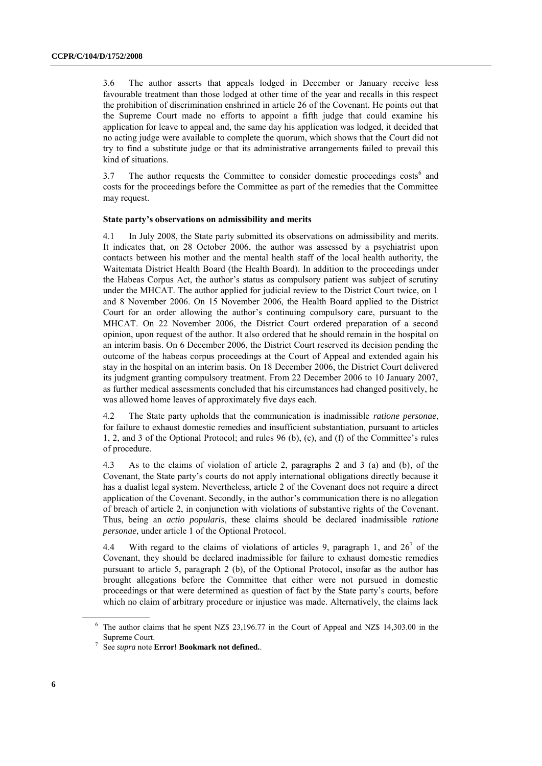3.6 The author asserts that appeals lodged in December or January receive less favourable treatment than those lodged at other time of the year and recalls in this respect the prohibition of discrimination enshrined in article 26 of the Covenant. He points out that the Supreme Court made no efforts to appoint a fifth judge that could examine his application for leave to appeal and, the same day his application was lodged, it decided that no acting judge were available to complete the quorum, which shows that the Court did not try to find a substitute judge or that its administrative arrangements failed to prevail this kind of situations.

3.7 The author requests the Committee to consider domestic proceedings costs<sup>6</sup> and costs for the proceedings before the Committee as part of the remedies that the Committee may request.

#### **State party's observations on admissibility and merits**

4.1 In July 2008, the State party submitted its observations on admissibility and merits. It indicates that, on 28 October 2006, the author was assessed by a psychiatrist upon contacts between his mother and the mental health staff of the local health authority, the Waitemata District Health Board (the Health Board). In addition to the proceedings under the Habeas Corpus Act, the author's status as compulsory patient was subject of scrutiny under the MHCAT. The author applied for judicial review to the District Court twice, on 1 and 8 November 2006. On 15 November 2006, the Health Board applied to the District Court for an order allowing the author's continuing compulsory care, pursuant to the MHCAT. On 22 November 2006, the District Court ordered preparation of a second opinion, upon request of the author. It also ordered that he should remain in the hospital on an interim basis. On 6 December 2006, the District Court reserved its decision pending the outcome of the habeas corpus proceedings at the Court of Appeal and extended again his stay in the hospital on an interim basis. On 18 December 2006, the District Court delivered its judgment granting compulsory treatment. From 22 December 2006 to 10 January 2007, as further medical assessments concluded that his circumstances had changed positively, he was allowed home leaves of approximately five days each.

4.2 The State party upholds that the communication is inadmissible *ratione personae*, for failure to exhaust domestic remedies and insufficient substantiation, pursuant to articles 1, 2, and 3 of the Optional Protocol; and rules 96 (b), (c), and (f) of the Committee's rules of procedure.

4.3 As to the claims of violation of article 2, paragraphs 2 and 3 (a) and (b), of the Covenant, the State party's courts do not apply international obligations directly because it has a dualist legal system. Nevertheless, article 2 of the Covenant does not require a direct application of the Covenant. Secondly, in the author's communication there is no allegation of breach of article 2, in conjunction with violations of substantive rights of the Covenant. Thus, being an *actio popularis*, these claims should be declared inadmissible *ratione personae*, under article 1 of the Optional Protocol.

4.4 With regard to the claims of violations of articles 9, paragraph 1, and  $26^7$  of the Covenant, they should be declared inadmissible for failure to exhaust domestic remedies pursuant to article 5, paragraph 2 (b), of the Optional Protocol, insofar as the author has brought allegations before the Committee that either were not pursued in domestic proceedings or that were determined as question of fact by the State party's courts, before which no claim of arbitrary procedure or injustice was made. Alternatively, the claims lack

<sup>6</sup> The author claims that he spent NZ\$ 23,196.77 in the Court of Appeal and NZ\$ 14,303.00 in the Supreme Court.

<sup>7</sup> See *supra* note **Error! Bookmark not defined.**.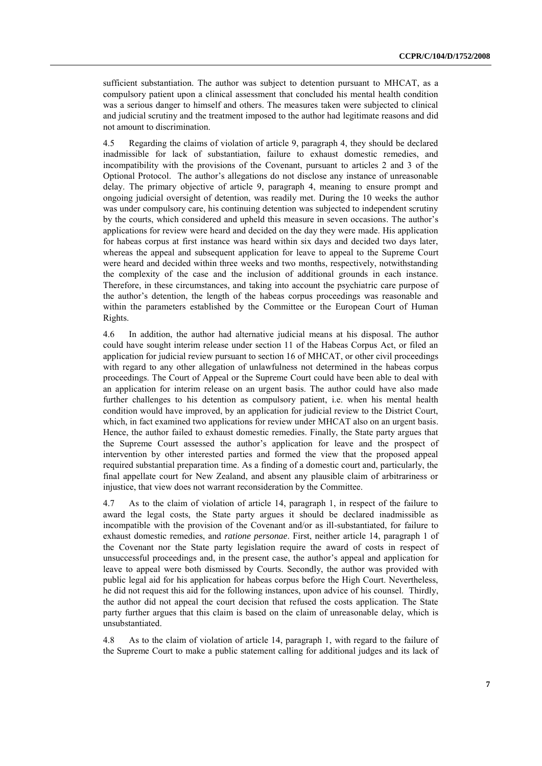sufficient substantiation. The author was subject to detention pursuant to MHCAT, as a compulsory patient upon a clinical assessment that concluded his mental health condition was a serious danger to himself and others. The measures taken were subjected to clinical and judicial scrutiny and the treatment imposed to the author had legitimate reasons and did not amount to discrimination.

4.5 Regarding the claims of violation of article 9, paragraph 4, they should be declared inadmissible for lack of substantiation, failure to exhaust domestic remedies, and incompatibility with the provisions of the Covenant, pursuant to articles 2 and 3 of the Optional Protocol. The author's allegations do not disclose any instance of unreasonable delay. The primary objective of article 9, paragraph 4, meaning to ensure prompt and ongoing judicial oversight of detention, was readily met. During the 10 weeks the author was under compulsory care, his continuing detention was subjected to independent scrutiny by the courts, which considered and upheld this measure in seven occasions. The author's applications for review were heard and decided on the day they were made. His application for habeas corpus at first instance was heard within six days and decided two days later, whereas the appeal and subsequent application for leave to appeal to the Supreme Court were heard and decided within three weeks and two months, respectively, notwithstanding the complexity of the case and the inclusion of additional grounds in each instance. Therefore, in these circumstances, and taking into account the psychiatric care purpose of the author's detention, the length of the habeas corpus proceedings was reasonable and within the parameters established by the Committee or the European Court of Human Rights.

4.6 In addition, the author had alternative judicial means at his disposal. The author could have sought interim release under section 11 of the Habeas Corpus Act, or filed an application for judicial review pursuant to section 16 of MHCAT, or other civil proceedings with regard to any other allegation of unlawfulness not determined in the habeas corpus proceedings. The Court of Appeal or the Supreme Court could have been able to deal with an application for interim release on an urgent basis. The author could have also made further challenges to his detention as compulsory patient, i.e. when his mental health condition would have improved, by an application for judicial review to the District Court, which, in fact examined two applications for review under MHCAT also on an urgent basis. Hence, the author failed to exhaust domestic remedies. Finally, the State party argues that the Supreme Court assessed the author's application for leave and the prospect of intervention by other interested parties and formed the view that the proposed appeal required substantial preparation time. As a finding of a domestic court and, particularly, the final appellate court for New Zealand, and absent any plausible claim of arbitrariness or injustice, that view does not warrant reconsideration by the Committee.

4.7 As to the claim of violation of article 14, paragraph 1, in respect of the failure to award the legal costs, the State party argues it should be declared inadmissible as incompatible with the provision of the Covenant and/or as ill-substantiated, for failure to exhaust domestic remedies, and *ratione personae*. First, neither article 14, paragraph 1 of the Covenant nor the State party legislation require the award of costs in respect of unsuccessful proceedings and, in the present case, the author's appeal and application for leave to appeal were both dismissed by Courts. Secondly, the author was provided with public legal aid for his application for habeas corpus before the High Court. Nevertheless, he did not request this aid for the following instances, upon advice of his counsel. Thirdly, the author did not appeal the court decision that refused the costs application. The State party further argues that this claim is based on the claim of unreasonable delay, which is unsubstantiated.

4.8 As to the claim of violation of article 14, paragraph 1, with regard to the failure of the Supreme Court to make a public statement calling for additional judges and its lack of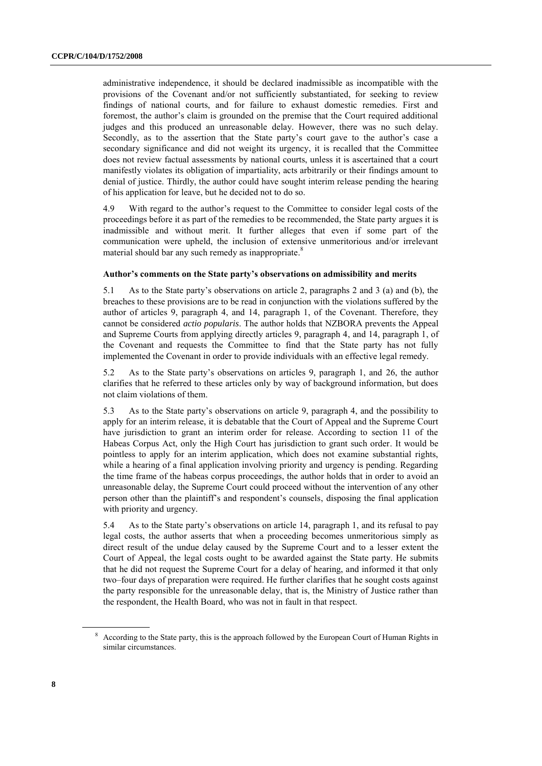administrative independence, it should be declared inadmissible as incompatible with the provisions of the Covenant and/or not sufficiently substantiated, for seeking to review findings of national courts, and for failure to exhaust domestic remedies. First and foremost, the author's claim is grounded on the premise that the Court required additional judges and this produced an unreasonable delay. However, there was no such delay. Secondly, as to the assertion that the State party's court gave to the author's case a secondary significance and did not weight its urgency, it is recalled that the Committee does not review factual assessments by national courts, unless it is ascertained that a court manifestly violates its obligation of impartiality, acts arbitrarily or their findings amount to denial of justice. Thirdly, the author could have sought interim release pending the hearing of his application for leave, but he decided not to do so.

4.9 With regard to the author's request to the Committee to consider legal costs of the proceedings before it as part of the remedies to be recommended, the State party argues it is inadmissible and without merit. It further alleges that even if some part of the communication were upheld, the inclusion of extensive unmeritorious and/or irrelevant material should bar any such remedy as inappropriate.<sup>8</sup>

## **Author's comments on the State party's observations on admissibility and merits**

5.1 As to the State party's observations on article 2, paragraphs 2 and 3 (a) and (b), the breaches to these provisions are to be read in conjunction with the violations suffered by the author of articles 9, paragraph 4, and 14, paragraph 1, of the Covenant. Therefore, they cannot be considered *actio popularis*. The author holds that NZBORA prevents the Appeal and Supreme Courts from applying directly articles 9, paragraph 4, and 14, paragraph 1, of the Covenant and requests the Committee to find that the State party has not fully implemented the Covenant in order to provide individuals with an effective legal remedy.

5.2 As to the State party's observations on articles 9, paragraph 1, and 26, the author clarifies that he referred to these articles only by way of background information, but does not claim violations of them.

5.3 As to the State party's observations on article 9, paragraph 4, and the possibility to apply for an interim release, it is debatable that the Court of Appeal and the Supreme Court have jurisdiction to grant an interim order for release. According to section 11 of the Habeas Corpus Act, only the High Court has jurisdiction to grant such order. It would be pointless to apply for an interim application, which does not examine substantial rights, while a hearing of a final application involving priority and urgency is pending. Regarding the time frame of the habeas corpus proceedings, the author holds that in order to avoid an unreasonable delay, the Supreme Court could proceed without the intervention of any other person other than the plaintiff's and respondent's counsels, disposing the final application with priority and urgency.

5.4 As to the State party's observations on article 14, paragraph 1, and its refusal to pay legal costs, the author asserts that when a proceeding becomes unmeritorious simply as direct result of the undue delay caused by the Supreme Court and to a lesser extent the Court of Appeal, the legal costs ought to be awarded against the State party. He submits that he did not request the Supreme Court for a delay of hearing, and informed it that only two–four days of preparation were required. He further clarifies that he sought costs against the party responsible for the unreasonable delay, that is, the Ministry of Justice rather than the respondent, the Health Board, who was not in fault in that respect.

<sup>&</sup>lt;sup>8</sup> According to the State party, this is the approach followed by the European Court of Human Rights in similar circumstances.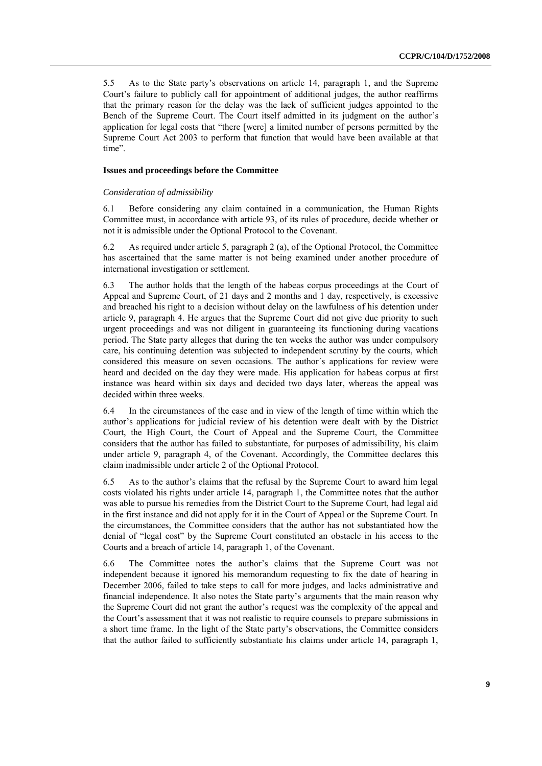5.5 As to the State party's observations on article 14, paragraph 1, and the Supreme Court's failure to publicly call for appointment of additional judges, the author reaffirms that the primary reason for the delay was the lack of sufficient judges appointed to the Bench of the Supreme Court. The Court itself admitted in its judgment on the author's application for legal costs that "there [were] a limited number of persons permitted by the Supreme Court Act 2003 to perform that function that would have been available at that time".

## **Issues and proceedings before the Committee**

#### *Consideration of admissibility*

6.1 Before considering any claim contained in a communication, the Human Rights Committee must, in accordance with article 93, of its rules of procedure, decide whether or not it is admissible under the Optional Protocol to the Covenant.

6.2 As required under article 5, paragraph 2 (a), of the Optional Protocol, the Committee has ascertained that the same matter is not being examined under another procedure of international investigation or settlement.

6.3 The author holds that the length of the habeas corpus proceedings at the Court of Appeal and Supreme Court, of 21 days and 2 months and 1 day, respectively, is excessive and breached his right to a decision without delay on the lawfulness of his detention under article 9, paragraph 4. He argues that the Supreme Court did not give due priority to such urgent proceedings and was not diligent in guaranteeing its functioning during vacations period. The State party alleges that during the ten weeks the author was under compulsory care, his continuing detention was subjected to independent scrutiny by the courts, which considered this measure on seven occasions. The author´s applications for review were heard and decided on the day they were made. His application for habeas corpus at first instance was heard within six days and decided two days later, whereas the appeal was decided within three weeks.

6.4 In the circumstances of the case and in view of the length of time within which the author's applications for judicial review of his detention were dealt with by the District Court, the High Court, the Court of Appeal and the Supreme Court, the Committee considers that the author has failed to substantiate, for purposes of admissibility, his claim under article 9, paragraph 4, of the Covenant. Accordingly, the Committee declares this claim inadmissible under article 2 of the Optional Protocol.

6.5 As to the author's claims that the refusal by the Supreme Court to award him legal costs violated his rights under article 14, paragraph 1, the Committee notes that the author was able to pursue his remedies from the District Court to the Supreme Court, had legal aid in the first instance and did not apply for it in the Court of Appeal or the Supreme Court. In the circumstances, the Committee considers that the author has not substantiated how the denial of "legal cost" by the Supreme Court constituted an obstacle in his access to the Courts and a breach of article 14, paragraph 1, of the Covenant.

6.6 The Committee notes the author's claims that the Supreme Court was not independent because it ignored his memorandum requesting to fix the date of hearing in December 2006, failed to take steps to call for more judges, and lacks administrative and financial independence. It also notes the State party's arguments that the main reason why the Supreme Court did not grant the author's request was the complexity of the appeal and the Court's assessment that it was not realistic to require counsels to prepare submissions in a short time frame. In the light of the State party's observations, the Committee considers that the author failed to sufficiently substantiate his claims under article 14, paragraph 1,